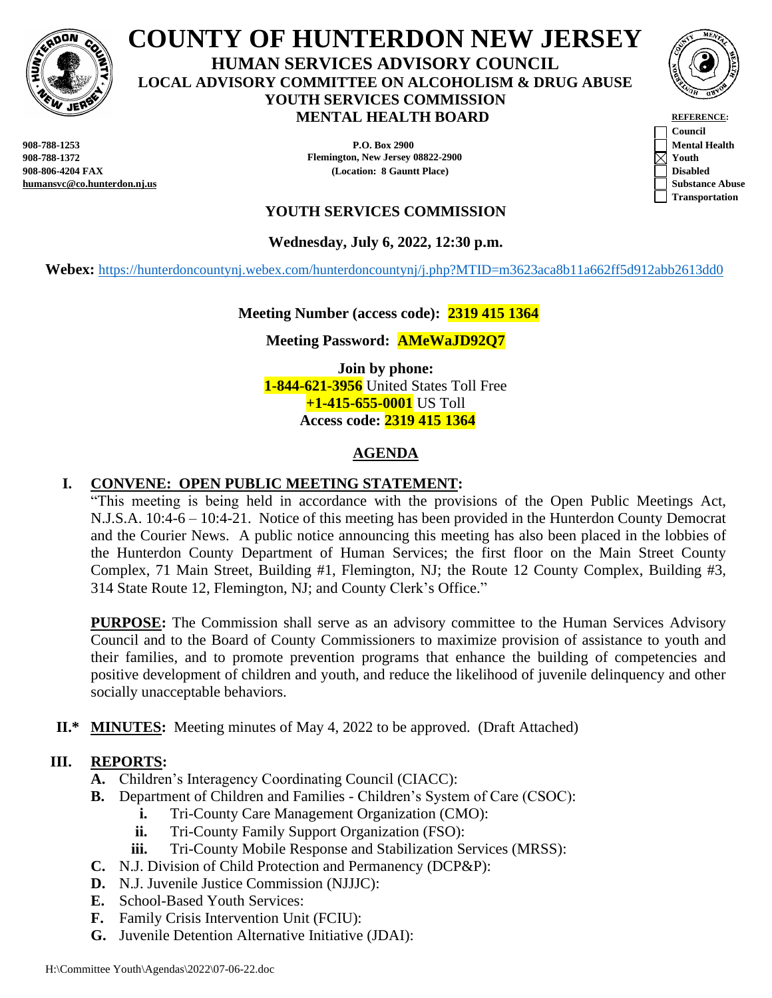

**COUNTY OF HUNTERDON NEW JERSEY HUMAN SERVICES ADVISORY COUNCIL LOCAL ADVISORY COMMITTEE ON ALCOHOLISM & DRUG ABUSE YOUTH SERVICES COMMISSION MENTAL HEALTH BOARD REFERENCE:** 

**humansvc@co.hunterdon.nj.us Substance Abuse**

**908-788-1253 P.O. Box 2900 Mental Health 908-788-1372 Flemington, New Jersey 08822-2900 Youth 908-806-4204 FAX (Location: 8 Gauntt Place) Disabled**



**Council Transportation**

# **YOUTH SERVICES COMMISSION**

**Wednesday, July 6, 2022, 12:30 p.m.** 

Webex: <https://hunterdoncountynj.webex.com/hunterdoncountynj/j.php?MTID=m3623aca8b11a662ff5d912abb2613dd0>

## **Meeting Number (access code): 2319 415 1364**

## **Meeting Password: AMeWaJD92Q7**

**Join by phone: 1-844-621-3956** United States Toll Free **+1-415-655-0001** US Toll **Access code: 2319 415 1364**

# **AGENDA**

## **I. CONVENE: OPEN PUBLIC MEETING STATEMENT:**

"This meeting is being held in accordance with the provisions of the Open Public Meetings Act, N.J.S.A. 10:4-6 – 10:4-21. Notice of this meeting has been provided in the Hunterdon County Democrat and the Courier News. A public notice announcing this meeting has also been placed in the lobbies of the Hunterdon County Department of Human Services; the first floor on the Main Street County Complex, 71 Main Street, Building #1, Flemington, NJ; the Route 12 County Complex, Building #3, 314 State Route 12, Flemington, NJ; and County Clerk's Office."

**PURPOSE:** The Commission shall serve as an advisory committee to the Human Services Advisory Council and to the Board of County Commissioners to maximize provision of assistance to youth and their families, and to promote prevention programs that enhance the building of competencies and positive development of children and youth, and reduce the likelihood of juvenile delinquency and other socially unacceptable behaviors.

**II.\* MINUTES:** Meeting minutes of May 4, 2022 to be approved. (Draft Attached)

### **III. REPORTS:**

- **A.** Children's Interagency Coordinating Council (CIACC):
- **B.** Department of Children and Families Children's System of Care (CSOC):
	- **i.** Tri-County Care Management Organization (CMO):
	- **ii.** Tri-County Family Support Organization (FSO):
	- **iii.** Tri-County Mobile Response and Stabilization Services (MRSS):
- **C.** N.J. Division of Child Protection and Permanency (DCP&P):
- **D.** N.J. Juvenile Justice Commission (NJJJC):
- **E.** School-Based Youth Services:
- **F.** Family Crisis Intervention Unit (FCIU):
- **G.** Juvenile Detention Alternative Initiative (JDAI):